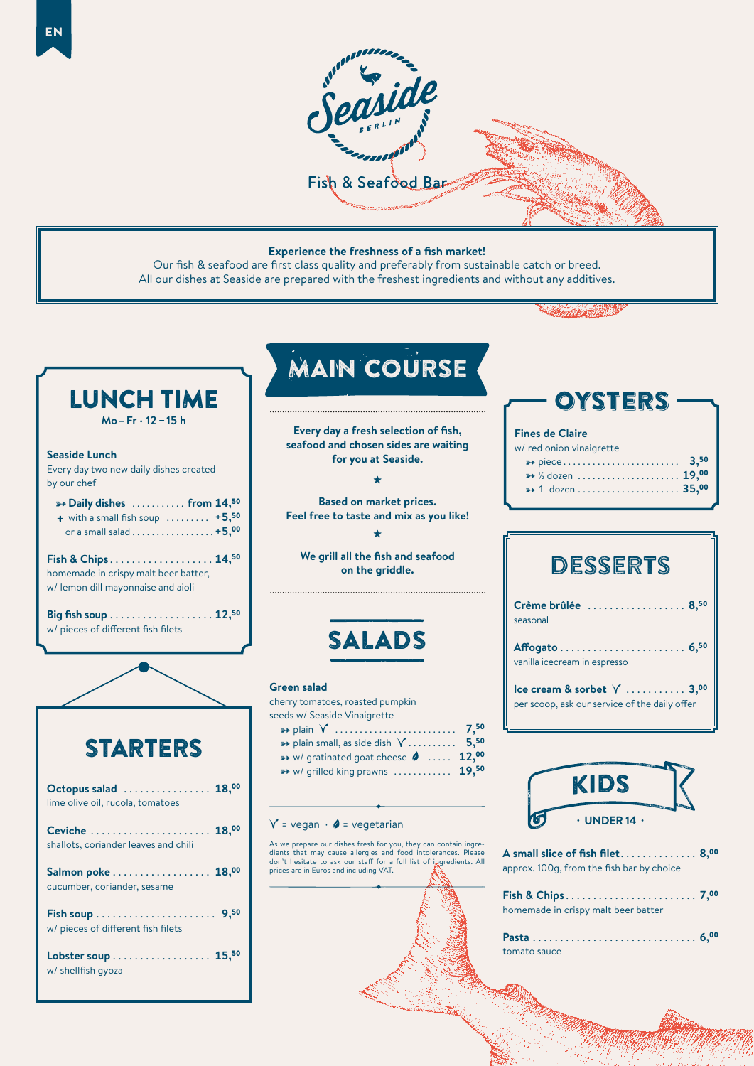

#### **Experience the freshness of a fish market!**

Our fish & seafood are first class quality and preferably from sustainable catch or breed. All our dishes at Seaside are prepared with the freshest ingredients and without any additives.



## **OYSTERS**

#### **Fines de Claire**

|                                         |  |  |  |  |  |  |  | w/ red onion vinaigrette |  |  |
|-----------------------------------------|--|--|--|--|--|--|--|--------------------------|--|--|
|                                         |  |  |  |  |  |  |  |                          |  |  |
| $\rightarrow$ 19,00 $\rightarrow$ 19,00 |  |  |  |  |  |  |  |                          |  |  |
| $\rightarrow 1$ dozen  35,00            |  |  |  |  |  |  |  |                          |  |  |
|                                         |  |  |  |  |  |  |  |                          |  |  |

| Crème brûlée  8,50<br>seasonal |  |  |  |
|--------------------------------|--|--|--|
| vanilla icecream in espresso   |  |  |  |
|                                |  |  |  |

**Ice cream & sorbet**  $\sqrt{2}$  ........... 3,00 per scoop, ask our service of the daily offer



| A small slice of fish filet $8,^{00}$     |  |
|-------------------------------------------|--|
| approx. 100g, from the fish bar by choice |  |
|                                           |  |

| homemade in crispy malt beer batter |  |  |  |  |  |  |  |  |  |  |  |  |  |  |  |  |
|-------------------------------------|--|--|--|--|--|--|--|--|--|--|--|--|--|--|--|--|
|                                     |  |  |  |  |  |  |  |  |  |  |  |  |  |  |  |  |

tomato sauce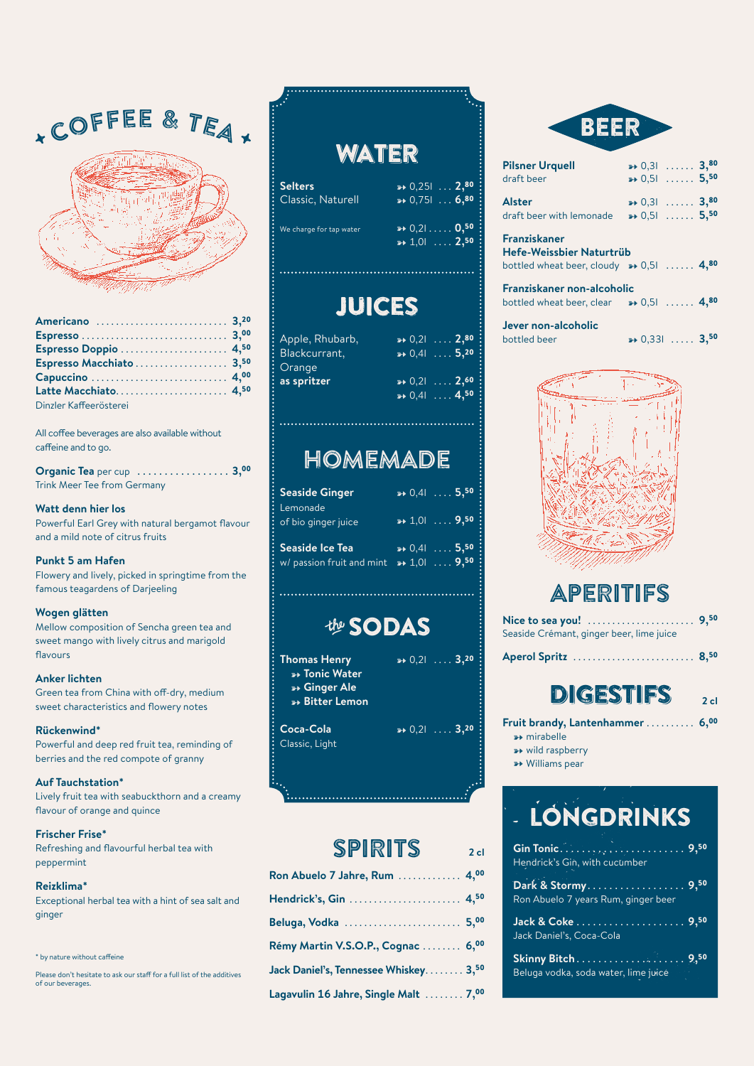# **COFFEE & TEA.**



| Espresso Macchiato  3,50 |  |
|--------------------------|--|
|                          |  |
|                          |  |
| Dinzler Kaffeerösterei   |  |

All coffee beverages are also available without caffeine and to go.

| <b>Organic Tea</b> per cup $\ldots$ 3,00 |  |
|------------------------------------------|--|
| Trink Meer Tee from Germany              |  |

### **Watt denn hier los**

Powerful Earl Grey with natural bergamot flavour and a mild note of citrus fruits

### **Punkt 5 am Hafen**

Flowery and lively, picked in springtime from the famous teagardens of Darjeeling

### **Wogen glätten**

Mellow composition of Sencha green tea and sweet mango with lively citrus and marigold flavours

#### **Anker lichten**

Green tea from China with off-dry, medium sweet characteristics and flowery notes

#### **Rückenwind\***

Powerful and deep red fruit tea, reminding of berries and the red compote of granny

### **Auf Tauchstation\***

Lively fruit tea with seabuckthorn and a creamy flavour of orange and quince

### **Frischer Frise\***

Refreshing and flavourful herbal tea with peppermint

### **Reizklima\***

Exceptional herbal tea with a hint of sea salt and ginger

#### \* by nature without caffeine

Please don't hesitate to ask our staff for a full list of the additives of our beverages.

## **WATER**

| <b>Selters</b>          | $\rightarrow 0,251$ 2,80 }                                    |
|-------------------------|---------------------------------------------------------------|
| Classic, Naturell       | $\rightarrow 0,7516,80$                                       |
| We charge for tap water | $\rightarrow 0,210,50$<br>$\rightarrow 1,01$ 2, <sup>50</sup> |

## JUICES

- Apple, Rhubarb, **(a)**  $\rightarrow 0,21$  ... . **2,<sup>80</sup>**<br>Blackcurrant. **6,20** Orange **as spritzer**  $\rightarrow 0,2$  ... 2,<sup>60</sup>
	- $\rightarrow 0,4$ l . . . . 5,<sup>20</sup>  $\rightarrow 0,4$ l ... **4,<sup>50</sup>**

## HOMEMADE

| <b>Seaside Ginger</b>                        |                    | $\rightarrow 0.41$ 5, <sup>50</sup>                              |
|----------------------------------------------|--------------------|------------------------------------------------------------------|
| Lemonade<br>of bio ginger juice              |                    | $\rightarrow 1.01$ 9, <sup>50</sup>                              |
| Seaside Ice Tea<br>w/ passion fruit and mint | $\rightarrow 1.01$ | $\rightarrow 0.41$ 5, <sup>50</sup><br>$\ldots$ 9, <sup>50</sup> |

## **the SODAS**

**Thomas Henry a**  $\rightarrow$  0,2l ... **3,20** ) **Tonic Water**  ) **Ginger Ale** ) **Bitter Lemon**

Classic, Light

**Coca-Cola 1948 Decay Coca-Cola** 

**2 cl** 

## SPIRITS

| Ron Abuelo 7 Jahre, Rum  4,00         |  |
|---------------------------------------|--|
| Hendrick's, Gin  4,50                 |  |
| Beluga, Vodka  5,00                   |  |
| Rémy Martin V.S.O.P., Cognac  6,00    |  |
| Jack Daniel's, Tennessee Whiskey 3,50 |  |
| Lagavulin 16 Jahre, Single Malt  7,00 |  |



| <b>Pilsner Urquell</b><br>draft beer                                                                  | $\rightarrow 0,31$ 3, <sup>80</sup><br>$\rightarrow 0,51$ 5, <sup>50</sup> |
|-------------------------------------------------------------------------------------------------------|----------------------------------------------------------------------------|
| Alster<br>draft beer with lemonade                                                                    | $\rightarrow 0,31$ 3,80<br>$\rightarrow 0,51$ 5, <sup>50</sup>             |
| <b>Franziskaner</b><br>Hefe-Weissbier Naturtrüb<br>bottled wheat beer, cloudy $\rightarrow 0,51$ 4,80 |                                                                            |
| Franziskaner non-alcoholic<br>bottled wheat beer, clear $\rightarrow 0,51$ 4,80                       |                                                                            |
| Jever non-alcoholic<br>bottled beer                                                                   | $\rightarrow 0,331$ 3, <sup>50</sup>                                       |



## APERITIFS

| Seaside Crémant, ginger beer, lime juice |  |
|------------------------------------------|--|
| Aperol Spritz  8,50                      |  |

## DIGESTIFS

**2 cl** 

**Fruit brandy, Lantenhammer** . . . . . . . . . . **6,**<sup>00</sup>

- $\rightarrow$  mirabelle
- **\*\*** wild raspberry
- **\*\*** Williams pear

# . LONGDRINKS

| Gin Tonic, A. Yayy, M. Harry 19, 9, 50<br>Hendrick's Gin, with cucumber |  |
|-------------------------------------------------------------------------|--|
| Ron Abuelo 7 years Rum, ginger beer                                     |  |
| Jack Daniel's, Coca-Cola                                                |  |
|                                                                         |  |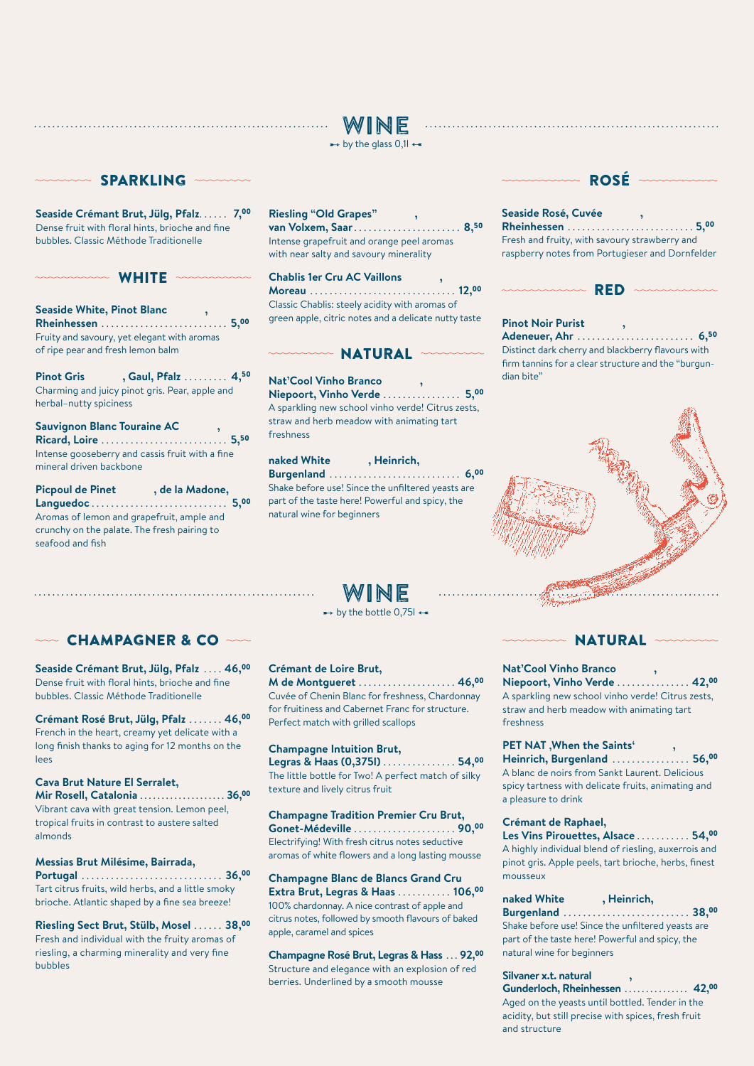## WINE



## **MANA SPARKLING**

**Seaside Crémant Brut, Jülg, Pfalz** . . . . . . **7,**<sup>00</sup> Dense fruit with floral hints, brioche and fine bubbles. Classic Méthode Traditionelle

## manna WHITE mannan

**Seaside White, Pinot Blanc , Rheinhessen** . . . . . . . . . . . . . . . . . . . . . . . . . **5,**<sup>00</sup> Fruity and savoury, yet elegant with aromas of ripe pear and fresh lemon balm

**Pinot Gris , Gaul, Pfalz** . . . . . . . . **4,**<sup>50</sup> Charming and juicy pinot gris. Pear, apple and herbal–nutty spiciness

**Sauvignon Blanc Touraine AC , Ricard, Loire** . . . . . . . . . . . . . . . . . . . . . . . . . **5,**<sup>50</sup> Intense gooseberry and cassis fruit with a fine mineral driven backbone

**Picpoul de Pinet , de la Madone, Languedoc** . . . . . . . . . . . . . . . . . . . . . . . . . . . . **5,**<sup>00</sup> Aromas of lemon and grapefruit, ample and crunchy on the palate. The fresh pairing to seafood and fish

## **Riesling "Old Grapes" ,**

**van Volxem, Saar** . . . . . . . . . . . . . . . . . . . . . **8,**<sup>50</sup> Intense grapefruit and orange peel aromas with near salty and savoury minerality

**Chablis 1er Cru AC Vaillons , Moreau** . . . . . . . . . . . . . . . . . . . . . . . . . . . . . **12,**<sup>00</sup> Classic Chablis: steely acidity with aromas of green apple, citric notes and a delicate nutty taste

## WARN NATURAL

**Nat'Cool Vinho Branco , Niepoort, Vinho Verde** . . . . . . . . . . . . . . . . **5,**<sup>00</sup> A sparkling new school vinho verde! Citrus zests, straw and herb meadow with animating tart freshness

**naked White , Heinrich, Burgenland** . . . . . . . . . . . . . . . . . . . . . . . . . . . **6,**<sup>00</sup> Shake before use! Since the unfiltered yeasts are part of the taste here! Powerful and spicy, the natural wine for beginners

## WINE

## $\rightarrow$  by the bottle 0,75l  $\leftarrow$

## $\sim$  CHAMPAGNER & CO  $\sim$

**Seaside Crémant Brut, Jülg, Pfalz** . . . **46,**<sup>00</sup> Dense fruit with floral hints, brioche and fine bubbles. Classic Méthode Traditionelle

**Crémant Rosé Brut, Jülg, Pfalz** . . . . . . **46,**<sup>00</sup> French in the heart, creamy yet delicate with a long finish thanks to aging for 12 months on the lees

#### **Cava Brut Nature El Serralet,**

**Mir Rosell, Catalonia** . . . . . . . . . . . . . . . . . . . **36,**<sup>00</sup> Vibrant cava with great tension. Lemon peel, tropical fruits in contrast to austere salted almonds

### **Messias Brut Milésime, Bairrada,**

**Portugal** . . . . . . . . . . . . . . . . . . . . . . . . . . . . **36,**<sup>00</sup> Tart citrus fruits, wild herbs, and a little smoky brioche. Atlantic shaped by a fine sea breeze!

**Riesling Sect Brut, Stülb, Mosel** . . . . . **38,**<sup>00</sup> Fresh and individual with the fruity aromas of riesling, a charming minerality and very fine bubbles

### **Crémant de Loire Brut,**

**M de Montgueret** . . . . . . . . . . . . . . . . . . . **46,**<sup>00</sup> Cuvée of Chenin Blanc for freshness, Chardonnay for fruitiness and Cabernet Franc for structure. Perfect match with grilled scallops

#### **Champagne Intuition Brut,**

**Legras & Haas (0,375l)** . . . . . . . . . . . . . . **54,**<sup>00</sup> The little bottle for Two! A perfect match of silky texture and lively citrus fruit

## **Champagne Tradition Premier Cru Brut,**

**Gonet-Médeville** . . . . . . . . . . . . . . . . . . . . **90,**<sup>00</sup> Electrifying! With fresh citrus notes seductive aromas of white flowers and a long lasting mousse

**Champagne Blanc de Blancs Grand Cru Extra Brut, Legras & Haas** . . . . . . . . . . **106,**<sup>00</sup> 100% chardonnay. A nice contrast of apple and citrus notes, followed by smooth flavours of baked apple, caramel and spices

**Champagne Rosé Brut, Legras & Hass** . . **92,**<sup>00</sup> Structure and elegance with an explosion of red berries. Underlined by a smooth mousse

## munum ROSÉ munum

**Seaside Rosé, Cuvée , Rheinhessen** . . . . . . . . . . . . . . . . . . . . . . . . . **5,**<sup>00</sup> Fresh and fruity, with savoury strawberry and raspberry notes from Portugieser and Dornfelder



## **Pinot Noir Purist ,**

**Adeneuer, Ahr** . . . . . . . . . . . . . . . . . . . . . . . . **6,**<sup>50</sup> Distinct dark cherry and blackberry flavours with firm tannins for a clear structure and the "burgundian bite"



## man NATURAL manna

### **Nat'Cool Vinho Branco ,**

**Niepoort, Vinho Verde** . . . . . . . . . . . . . . **42,**<sup>00</sup> A sparkling new school vinho verde! Citrus zests, straw and herb meadow with animating tart freshness

### PET NAT , When the Saints'

**Heinrich, Burgenland** . . . . . . . . . . . . . . . **56,**<sup>00</sup> A blanc de noirs from Sankt Laurent. Delicious spicy tartness with delicate fruits, animating and a pleasure to drink

#### **Crémant de Raphael,**

**Les Vins Pirouettes, Alsace** . . . . . . . . . . **54,**<sup>00</sup> A highly individual blend of riesling, auxerrois and pinot gris. Apple peels, tart brioche, herbs, finest mousseux

## **naked White , Heinrich,**

**Burgenland** . . . . . . . . . . . . . . . . . . . . . . . . . **38,**<sup>00</sup> Shake before use! Since the unfiltered yeasts are part of the taste here! Powerful and spicy, the natural wine for beginners

#### **Silvaner x.t. natural ,**

**Gunderloch, Rheinhessen** . . . . . . . . . . . . . . . **42,**<sup>00</sup> Aged on the yeasts until bottled. Tender in the acidity, but still precise with spices, fresh fruit and structure